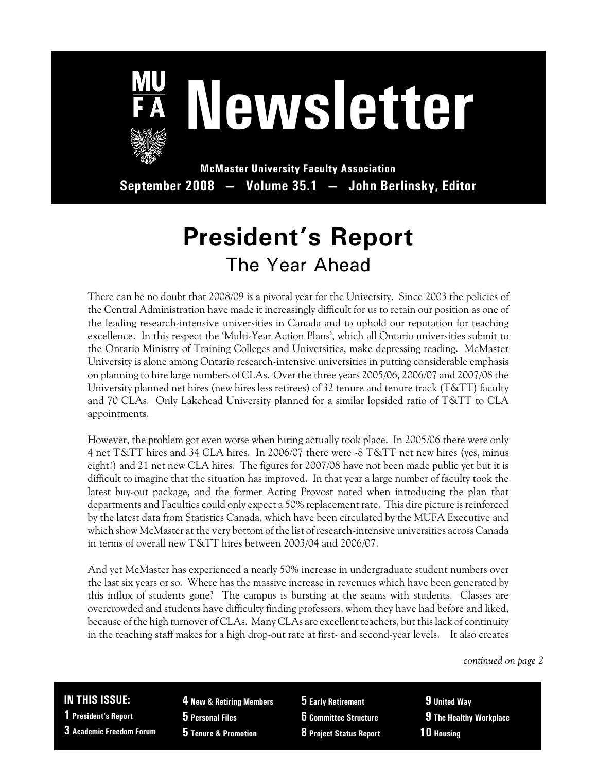

# **Newsletter**

**McMaster University Faculty Association September 2008 — Volume 35.1 — John Berlinsky, Editor**

## **President's Report** The Year Ahead

There can be no doubt that 2008/09 is a pivotal year for the University. Since 2003 the policies of the Central Administration have made it increasingly difficult for us to retain our position as one of the leading research-intensive universities in Canada and to uphold our reputation for teaching excellence. In this respect the 'Multi-Year Action Plans', which all Ontario universities submit to the Ontario Ministry of Training Colleges and Universities, make depressing reading. McMaster University is alone among Ontario research-intensive universities in putting considerable emphasis on planning to hire large numbers of CLAs. Over the three years 2005/06, 2006/07 and 2007/08 the University planned net hires (new hires less retirees) of 32 tenure and tenure track (T&TT) faculty and 70 CLAs. Only Lakehead University planned for a similar lopsided ratio of T&TT to CLA appointments.

However, the problem got even worse when hiring actually took place. In 2005/06 there were only 4 net T&TT hires and 34 CLA hires. In 2006/07 there were -8 T&TT net new hires (yes, minus eight!) and 21 net new CLA hires. The figures for 2007/08 have not been made public yet but it is difficult to imagine that the situation has improved. In that year a large number of faculty took the latest buy-out package, and the former Acting Provost noted when introducing the plan that departments and Faculties could only expect a 50% replacement rate. This dire picture is reinforced by the latest data from Statistics Canada, which have been circulated by the MUFA Executive and which show McMaster at the very bottom of the list of research-intensive universities across Canada in terms of overall new T&TT hires between 2003/04 and 2006/07.

And yet McMaster has experienced a nearly 50% increase in undergraduate student numbers over the last six years or so. Where has the massive increase in revenues which have been generated by this influx of students gone? The campus is bursting at the seams with students. Classes are overcrowded and students have difficulty finding professors, whom they have had before and liked, because of the high turnover of CLAs. Many CLAs are excellent teachers, but this lack of continuity in the teaching staff makes for a high drop-out rate at first- and second-year levels. It also creates

*continued on page 2*

#### **IN THIS ISSUE:**

**1 President's Report**

**3 Academic Freedom Forum**

**4 New & Retiring Members 5 Personal Files 5 Tenure & Promotion**

**5 Early Retirement 6 Committee Structure**

**8 Project Status Report**

 **9 United Way 9 The Healthy Workplace 10 Housing**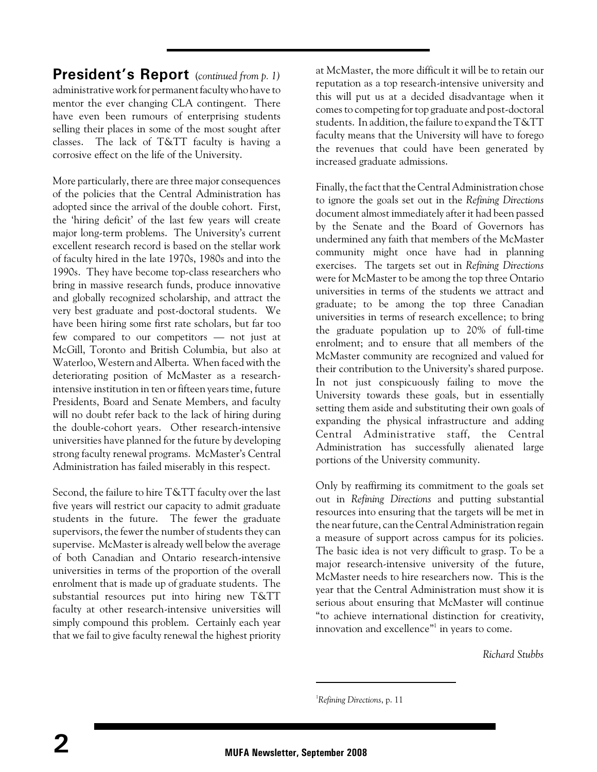**President's Report** (*continued from p. 1)* administrative work for permanent faculty who have to mentor the ever changing CLA contingent. There have even been rumours of enterprising students selling their places in some of the most sought after classes. The lack of T&TT faculty is having a corrosive effect on the life of the University.

More particularly, there are three major consequences of the policies that the Central Administration has adopted since the arrival of the double cohort. First, the 'hiring deficit' of the last few years will create major long-term problems. The University's current excellent research record is based on the stellar work of faculty hired in the late 1970s, 1980s and into the 1990s. They have become top-class researchers who bring in massive research funds, produce innovative and globally recognized scholarship, and attract the very best graduate and post-doctoral students. We have been hiring some first rate scholars, but far too few compared to our competitors — not just at McGill, Toronto and British Columbia, but also at Waterloo, Western and Alberta. When faced with the deteriorating position of McMaster as a researchintensive institution in ten or fifteen years time, future Presidents, Board and Senate Members, and faculty will no doubt refer back to the lack of hiring during the double-cohort years. Other research-intensive universities have planned for the future by developing strong faculty renewal programs. McMaster's Central Administration has failed miserably in this respect.

Second, the failure to hire T&TT faculty over the last five years will restrict our capacity to admit graduate students in the future. The fewer the graduate supervisors, the fewer the number of students they can supervise. McMaster is already well below the average of both Canadian and Ontario research-intensive universities in terms of the proportion of the overall enrolment that is made up of graduate students. The substantial resources put into hiring new T&TT faculty at other research-intensive universities will simply compound this problem. Certainly each year that we fail to give faculty renewal the highest priority at McMaster, the more difficult it will be to retain our reputation as a top research-intensive university and this will put us at a decided disadvantage when it comes to competing for top graduate and post-doctoral students. In addition, the failure to expand the T&TT faculty means that the University will have to forego the revenues that could have been generated by increased graduate admissions.

Finally, the fact that the Central Administration chose to ignore the goals set out in the *Refining Directions* document almost immediately after it had been passed by the Senate and the Board of Governors has undermined any faith that members of the McMaster community might once have had in planning exercises. The targets set out in *Refining Directions* were for McMaster to be among the top three Ontario universities in terms of the students we attract and graduate; to be among the top three Canadian universities in terms of research excellence; to bring the graduate population up to 20% of full-time enrolment; and to ensure that all members of the McMaster community are recognized and valued for their contribution to the University's shared purpose. In not just conspicuously failing to move the University towards these goals, but in essentially setting them aside and substituting their own goals of expanding the physical infrastructure and adding Central Administrative staff, the Central Administration has successfully alienated large portions of the University community.

Only by reaffirming its commitment to the goals set out in *Refining Directions* and putting substantial resources into ensuring that the targets will be met in the near future, can the Central Administration regain a measure of support across campus for its policies. The basic idea is not very difficult to grasp. To be a major research-intensive university of the future, McMaster needs to hire researchers now. This is the year that the Central Administration must show it is serious about ensuring that McMaster will continue "to achieve international distinction for creativity, innovation and excellence"<sup>1</sup> in years to come.

*Richard Stubbs*

<sup>&</sup>lt;sup>1</sup>Refining Directions, p. 11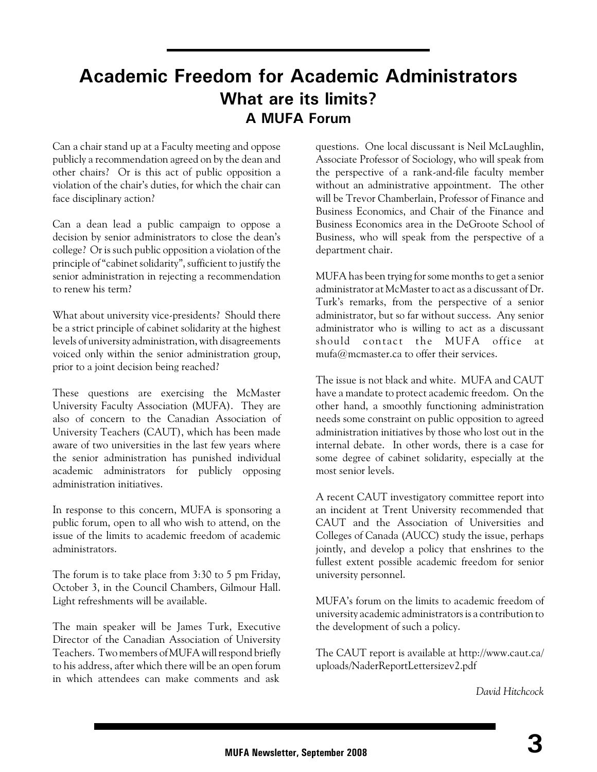## **Academic Freedom for Academic Administrators What are its limits? A MUFA Forum**

Can a chair stand up at a Faculty meeting and oppose publicly a recommendation agreed on by the dean and other chairs? Or is this act of public opposition a violation of the chair's duties, for which the chair can face disciplinary action?

Can a dean lead a public campaign to oppose a decision by senior administrators to close the dean's college? Or is such public opposition a violation of the principle of "cabinet solidarity", sufficient to justify the senior administration in rejecting a recommendation to renew his term?

What about university vice-presidents? Should there be a strict principle of cabinet solidarity at the highest levels of university administration, with disagreements voiced only within the senior administration group, prior to a joint decision being reached?

These questions are exercising the McMaster University Faculty Association (MUFA). They are also of concern to the Canadian Association of University Teachers (CAUT), which has been made aware of two universities in the last few years where the senior administration has punished individual academic administrators for publicly opposing administration initiatives.

In response to this concern, MUFA is sponsoring a public forum, open to all who wish to attend, on the issue of the limits to academic freedom of academic administrators.

The forum is to take place from 3:30 to 5 pm Friday, October 3, in the Council Chambers, Gilmour Hall. Light refreshments will be available.

The main speaker will be James Turk, Executive Director of the Canadian Association of University Teachers. Two members of MUFA will respond briefly to his address, after which there will be an open forum in which attendees can make comments and ask

questions. One local discussant is Neil McLaughlin, Associate Professor of Sociology, who will speak from the perspective of a rank-and-file faculty member without an administrative appointment. The other will be Trevor Chamberlain, Professor of Finance and Business Economics, and Chair of the Finance and Business Economics area in the DeGroote School of Business, who will speak from the perspective of a department chair.

MUFA has been trying for some months to get a senior administrator at McMaster to act as a discussant of Dr. Turk's remarks, from the perspective of a senior administrator, but so far without success. Any senior administrator who is willing to act as a discussant should contact the MUFA office at mufa@mcmaster.ca to offer their services.

The issue is not black and white. MUFA and CAUT have a mandate to protect academic freedom. On the other hand, a smoothly functioning administration needs some constraint on public opposition to agreed administration initiatives by those who lost out in the internal debate. In other words, there is a case for some degree of cabinet solidarity, especially at the most senior levels.

A recent CAUT investigatory committee report into an incident at Trent University recommended that CAUT and the Association of Universities and Colleges of Canada (AUCC) study the issue, perhaps jointly, and develop a policy that enshrines to the fullest extent possible academic freedom for senior university personnel.

MUFA's forum on the limits to academic freedom of university academic administrators is a contribution to the development of such a policy.

The CAUT report is available at http://www.caut.ca/ uploads/NaderReportLettersizev2.pdf

*David Hitchcock*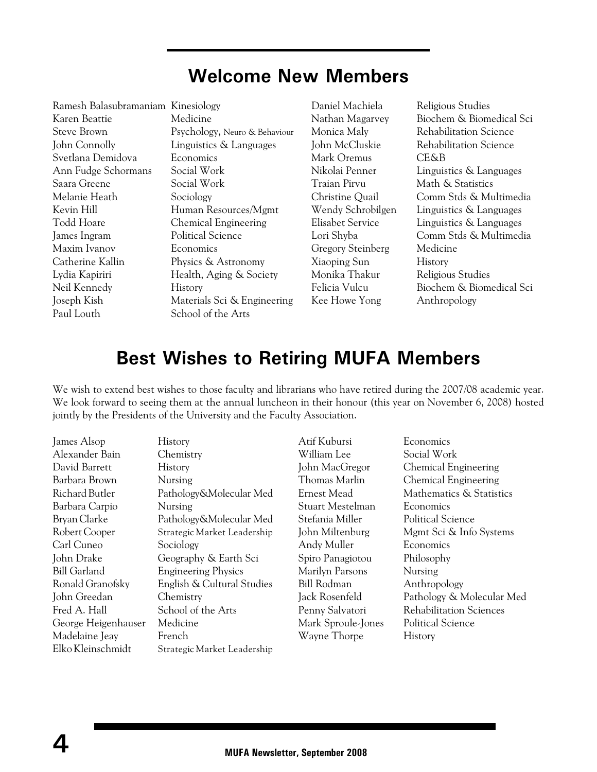## **Welcome New Members**

| Ramesh Balasubramaniam Kinesiology |                |
|------------------------------------|----------------|
| Karen Beattie                      | Medicine       |
| Steve Brown                        | Psychology,    |
| John Connolly                      | Linguistics &  |
| Svetlana Demidova                  | Economics      |
| Ann Fudge Schormans                | Social Work    |
| Saara Greene                       | Social Work    |
| Melanie Heath                      | Sociology      |
| Kevin Hill                         | Human Reso     |
| Todd Hoare                         | Chemical Er    |
| James Ingram                       | Political Scie |
| Maxim Ivanov                       | Economics      |
| Catherine Kallin                   | Physics & A    |
| Lydia Kapiriri                     | Health, Agir   |
| Neil Kennedy                       | History        |
| Joseph Kish                        | Materials Sc   |
| Paul Louth                         | School of th   |

ogy, Neuro & Behaviour ics & Languages Resources/Mgmt al Engineering Science  $\&$  Astronomy Aging & Society ls Sci & Engineering of the Arts

Daniel Machiela Religious Studies Mark Oremus CE&B Traian Pirvu Math & Statistics Gregory Steinberg Medicine Xiaoping Sun History Monika Thakur Religious Studies Kee Howe Yong Anthropology

Nathan Magarvey Biochem & Biomedical Sci Monica Maly Rehabilitation Science John McCluskie Rehabilitation Science Nikolai Penner Linguistics & Languages Christine Quail Comm Stds & Multimedia Wendy Schrobilgen Linguistics & Languages Elisabet Service Linguistics & Languages Lori Shyba Comm Stds & Multimedia Felicia Vulcu Biochem & Biomedical Sci

## **Best Wishes to Retiring MUFA Members**

We wish to extend best wishes to those faculty and librarians who have retired during the 2007/08 academic year. We look forward to seeing them at the annual luncheon in their honour (this year on November 6, 2008) hosted jointly by the Presidents of the University and the Faculty Association.

| James Alsop         | <b>History</b>              | Atif Kubursi       | Economics                      |
|---------------------|-----------------------------|--------------------|--------------------------------|
| Alexander Bain      | Chemistry                   | William Lee        | Social Work                    |
| David Barrett       | History                     | John MacGregor     | <b>Chemical Engineering</b>    |
| Barbara Brown       | Nursing                     | Thomas Marlin      | <b>Chemical Engineering</b>    |
| Richard Butler      | Pathology&Molecular Med     | Ernest Mead        | Mathematics & Statistics       |
| Barbara Carpio      | Nursing                     | Stuart Mestelman   | Economics                      |
| Bryan Clarke        | Pathology&Molecular Med     | Stefania Miller    | <b>Political Science</b>       |
| Robert Cooper       | Strategic Market Leadership | John Miltenburg    | Mgmt Sci & Info Systems        |
| Carl Cuneo          | Sociology                   | Andy Muller        | Economics                      |
| John Drake          | Geography & Earth Sci       | Spiro Panagiotou   | Philosophy                     |
| <b>Bill Garland</b> | <b>Engineering Physics</b>  | Marilyn Parsons    | Nursing                        |
| Ronald Granofsky    | English & Cultural Studies  | <b>Bill Rodman</b> | Anthropology                   |
| John Greedan        | Chemistry                   | Jack Rosenfeld     | Pathology & Molecular Med      |
| Fred A. Hall        | School of the Arts          | Penny Salvatori    | <b>Rehabilitation Sciences</b> |
| George Heigenhauser | Medicine                    | Mark Sproule-Jones | <b>Political Science</b>       |
| Madelaine Jeay      | French                      | Wayne Thorpe       | History                        |
| Elko Kleinschmidt   | Strategic Market Leadership |                    |                                |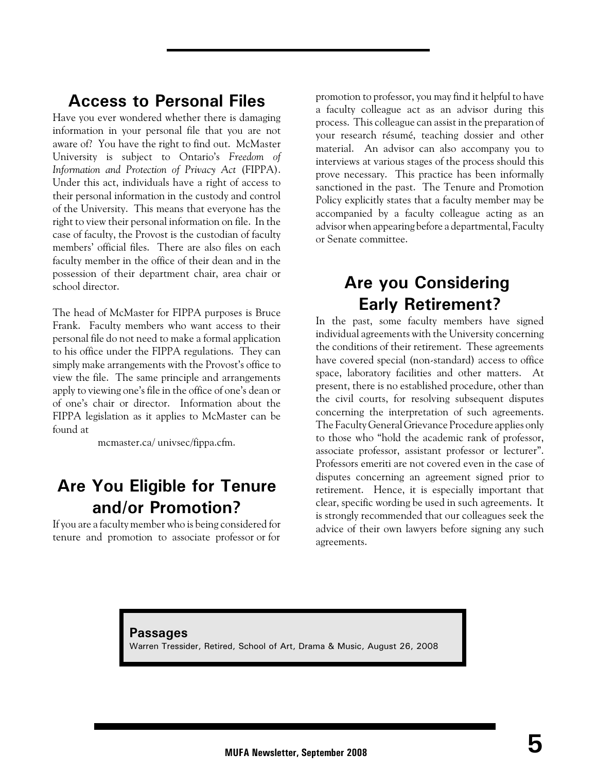## **Access to Personal Files**

Have you ever wondered whether there is damaging information in your personal file that you are not aware of? You have the right to find out. McMaster University is subject to Ontario's *Freedom of Information and Protection of Privacy Act* (FIPPA). Under this act, individuals have a right of access to their personal information in the custody and control of the University. This means that everyone has the right to view their personal information on file. In the case of faculty, the Provost is the custodian of faculty members' official files. There are also files on each faculty member in the office of their dean and in the possession of their department chair, area chair or school director.

The head of McMaster for FIPPA purposes is Bruce Frank. Faculty members who want access to their personal file do not need to make a formal application to his office under the FIPPA regulations. They can simply make arrangements with the Provost's office to view the file. The same principle and arrangements apply to viewing one's file in the office of one's dean or of one's chair or director. Information about the FIPPA legislation as it applies to McMaster can be found at

mcmaster.ca/ univsec/fippa.cfm.

## **Are You Eligible for Tenure and/or Promotion?**

If you are a faculty member who is being considered for tenure and promotion to associate professor or for

promotion to professor, you may find it helpful to have a faculty colleague act as an advisor during this process. This colleague can assist in the preparation of your research résumé, teaching dossier and other material. An advisor can also accompany you to interviews at various stages of the process should this prove necessary. This practice has been informally sanctioned in the past. The Tenure and Promotion Policy explicitly states that a faculty member may be accompanied by a faculty colleague acting as an advisor when appearing before a departmental, Faculty or Senate committee.

## **Are you Considering Early Retirement?**

In the past, some faculty members have signed individual agreements with the University concerning the conditions of their retirement. These agreements have covered special (non-standard) access to office space, laboratory facilities and other matters. At present, there is no established procedure, other than the civil courts, for resolving subsequent disputes concerning the interpretation of such agreements. The Faculty General Grievance Procedure applies only to those who "hold the academic rank of professor, associate professor, assistant professor or lecturer". Professors emeriti are not covered even in the case of disputes concerning an agreement signed prior to retirement. Hence, it is especially important that clear, specific wording be used in such agreements. It is strongly recommended that our colleagues seek the advice of their own lawyers before signing any such agreements.

**Passages** Warren Tressider, Retired, School of Art, Drama & Music, August 26, 2008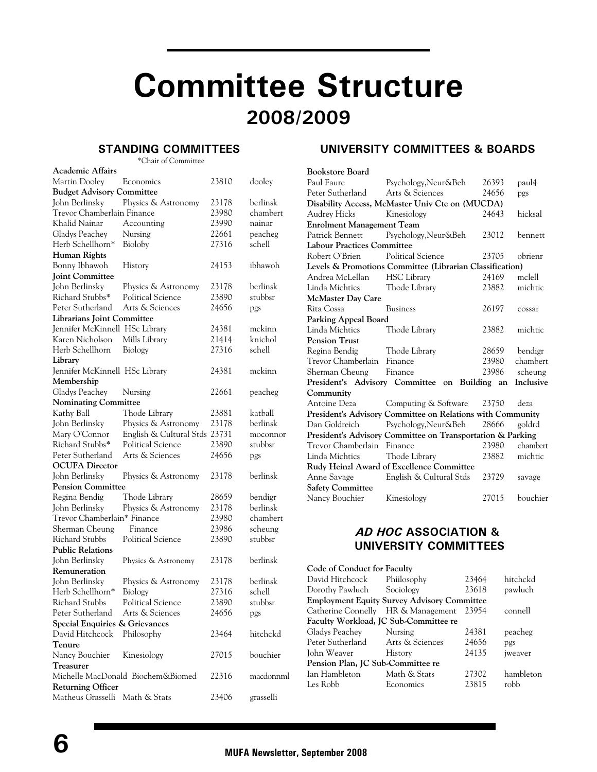# **Committee Structure 2008/2009**

#### **STANDING COMMITTEES**

\*Chair of Committee

| <b>Academic Affairs</b>          |                                   |       |           |
|----------------------------------|-----------------------------------|-------|-----------|
| Martin Dooley                    | Economics                         | 23810 | dooley    |
| <b>Budget Advisory Committee</b> |                                   |       |           |
| John Berlinsky                   | Physics & Astronomy               | 23178 | berlinsk  |
| Trevor Chamberlain Finance       |                                   | 23980 | chambert  |
| Khalid Nainar                    | Accounting                        | 23990 | nainar    |
| Gladys Peachey                   | Nursing                           | 22661 | peacheg   |
| Herb Schellhorn*                 | Bioloby                           | 27316 | schell    |
| Human Rights                     |                                   |       |           |
| Bonny Ibhawoh                    | History                           | 24153 | ibhawoh   |
| <b>Joint Committee</b>           |                                   |       |           |
| John Berlinsky                   | Physics & Astronomy               | 23178 | berlinsk  |
| Richard Stubbs*                  | <b>Political Science</b>          | 23890 | stubbsr   |
| Peter Sutherland                 | Arts & Sciences                   | 24656 | pgs       |
| Librarians Joint Committee       |                                   |       |           |
| Jennifer McKinnell HSc Library   |                                   | 24381 | mckinn    |
| Karen Nicholson                  | Mills Library                     | 21414 | knichol   |
| Herb Schellhorn                  | Biology                           | 27316 | schell    |
| Library                          |                                   |       |           |
| Jennifer McKinnell HSc Library   |                                   | 24381 | mckinn    |
| Membership                       |                                   |       |           |
| Gladys Peachey                   | Nursing                           | 22661 | peacheg   |
| <b>Nominating Committee</b>      |                                   |       |           |
| Kathy Ball                       | Thode Library                     | 23881 | katball   |
| John Berlinsky                   | Physics & Astronomy               | 23178 | berlinsk  |
| Mary O'Connor                    | English & Cultural Stds 23731     |       | moconnor  |
| Richard Stubbs*                  | Political Science                 | 23890 | stubbsr   |
| Peter Sutherland                 | Arts & Sciences                   | 24656 | pgs       |
| <b>OCUFA Director</b>            |                                   |       |           |
| John Berlinsky                   | Physics & Astronomy               | 23178 | berlinsk  |
| <b>Pension Committee</b>         |                                   |       |           |
| Regina Bendig                    | Thode Library                     | 28659 | bendigr   |
| John Berlinsky                   | Physics & Astronomy               | 23178 | berlinsk  |
| Trevor Chamberlain* Finance      |                                   | 23980 | chambert  |
| Sherman Cheung                   | Finance                           | 23986 | scheung   |
| Richard Stubbs                   | <b>Political Science</b>          | 23890 | stubbsr   |
| <b>Public Relations</b>          |                                   |       |           |
| John Berlinsky                   | Physics & Astronomy               | 23178 | berlinsk  |
| Remuneration                     |                                   |       |           |
| John Berlinsky                   | Physics & Astronomy               | 23178 | berlinsk  |
| Herb Schellhorn*                 | Biology                           | 27316 | schell    |
| <b>Richard Stubbs</b>            | Political Science                 | 23890 | stubbsr   |
| Peter Sutherland                 | Arts & Sciences                   | 24656 | pgs       |
| Special Enquiries & Grievances   |                                   |       |           |
| David Hitchcock                  | Philosophy                        | 23464 | hitchckd  |
| Tenure                           |                                   |       |           |
| Nancy Bouchier                   | Kinesiology                       | 27015 | bouchier  |
| <b>Treasurer</b>                 |                                   |       |           |
|                                  | Michelle MacDonald Biochem&Biomed | 22316 | macdonnml |
| <b>Returning Officer</b>         |                                   |       |           |
| Matheus Grasselli Math & Stats   |                                   | 23406 | grasselli |
|                                  |                                   |       |           |

#### **UNIVERSITY COMMITTEES & BOARDS**

| <b>Bookstore Board</b>            |                                                            |       |           |
|-----------------------------------|------------------------------------------------------------|-------|-----------|
| Paul Faure                        | Psychology, Neur&Beh                                       | 26393 | paul4     |
| Peter Sutherland                  | Arts & Sciences                                            | 24656 | pgs       |
|                                   | Disability Access, McMaster Univ Cte on (MUCDA)            |       |           |
| Audrey Hicks                      | Kinesiology                                                | 24643 | hicksal   |
| <b>Enrolment Management Team</b>  |                                                            |       |           |
|                                   | Patrick Bennett Psychology, Neur&Beh                       | 23012 | bennett   |
| <b>Labour Practices Committee</b> |                                                            |       |           |
| Robert O'Brien                    | <b>Political Science</b>                                   | 23705 | obrienr   |
|                                   | Levels & Promotions Committee (Librarian Classification)   |       |           |
| Andrea McLellan                   | <b>HSC Library</b>                                         | 24169 | mclell    |
| Linda Michtics                    | Thode Library                                              | 23882 | michtic   |
| McMaster Day Care                 |                                                            |       |           |
| Rita Cossa                        | <b>Business</b>                                            | 26197 | cossar    |
| Parking Appeal Board              |                                                            |       |           |
| Linda Michtics                    | Thode Library<br>23882                                     |       | michtic   |
| <b>Pension Trust</b>              |                                                            |       |           |
| Regina Bendig                     | Thode Library                                              | 28659 | bendigr   |
| Trevor Chamberlain Finance        |                                                            | 23980 | chambert  |
| Sherman Cheung                    | 23986<br>Finance<br>scheung                                |       |           |
| President's Advisory Committee    | on Building an                                             |       | Inclusive |
| Community                         |                                                            |       |           |
| Antoine Deza                      | Computing & Software                                       | deza  |           |
|                                   | President's Advisory Committee on Relations with Community |       |           |
| Dan Goldreich                     | Psychology, Neur&Beh                                       | 28666 | goldrd    |
|                                   | President's Advisory Committee on Transportation & Parking |       |           |
| Trevor Chamberlain Finance        |                                                            | 23980 | chambert  |
| Linda Michtics                    | Thode Library                                              | 23882 | michtic   |
|                                   | Rudy Heinzl Award of Excellence Committee                  |       |           |
| Anne Savage                       | English & Cultural Stds<br>23729<br>savage                 |       |           |
| <b>Safety Committee</b>           |                                                            |       |           |
| Nancy Bouchier                    | Kinesiology                                                | 27015 | bouchier  |

#### *AD HOC* **ASSOCIATION & UNIVERSITY COMMITTEES**

| Code of Conduct for Faculty           |       |                                                    |
|---------------------------------------|-------|----------------------------------------------------|
| David Hitchcock Phiilosophy           | 23464 | hitchckd                                           |
| Dorothy Pawluch Sociology             | 23618 | pawluch                                            |
|                                       |       |                                                    |
| Catherine Connelly HR & Management    | 23954 | connell                                            |
| Faculty Workload, JC Sub-Committee re |       |                                                    |
| Nursing                               | 24381 | peacheg                                            |
| Arts & Sciences                       | 24656 | pgs                                                |
| 24135<br>History                      |       | iweaver                                            |
| Pension Plan, JC Sub-Committee re     |       |                                                    |
| Math & Stats                          | 27302 | hambleton                                          |
| Economics                             | 23815 | robb                                               |
|                                       |       | <b>Employment Equity Survey Advisory Committee</b> |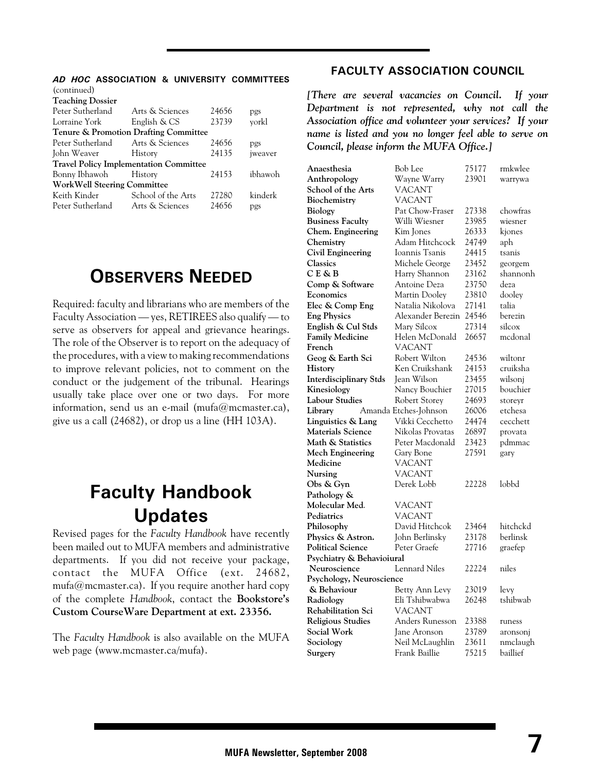#### *AD HOC* **ASSOCIATION & UNIVERSITY COMMITTEES**  $(constant)$

| <i>s</i> community                            |                                                  |       |         |  |
|-----------------------------------------------|--------------------------------------------------|-------|---------|--|
| <b>Teaching Dossier</b>                       |                                                  |       |         |  |
| Peter Sutherland                              | Arts & Sciences<br>24656<br>pgs                  |       |         |  |
| Lorraine York                                 | English & CS                                     | 23739 | vorkl   |  |
|                                               | <b>Tenure &amp; Promotion Drafting Committee</b> |       |         |  |
| Peter Sutherland                              | Arts & Sciences                                  | 24656 | pgs     |  |
| John Weaver History                           | 24135<br>iweaver                                 |       |         |  |
| <b>Travel Policy Implementation Committee</b> |                                                  |       |         |  |
| Bonny Ibhawoh History                         | ibhawoh<br>24153                                 |       |         |  |
| <b>WorkWell Steering Committee</b>            |                                                  |       |         |  |
| Keith Kinder                                  | School of the Arts                               | 27280 | kinderk |  |
| Peter Sutherland                              | 24656<br>Arts & Sciences<br>pgs                  |       |         |  |
|                                               |                                                  |       |         |  |

## **OBSERVERS NEEDED**

Required: faculty and librarians who are members of the Faculty Association — yes, RETIREES also qualify — to serve as observers for appeal and grievance hearings. The role of the Observer is to report on the adequacy of the procedures, with a view to making recommendations to improve relevant policies, not to comment on the conduct or the judgement of the tribunal. Hearings usually take place over one or two days. For more information, send us an e-mail (mufa@mcmaster.ca), give us a call (24682), or drop us a line (HH 103A).

## **Faculty Handbook Updates**

Revised pages for the *Faculty Handbook* have recently been mailed out to MUFA members and administrative departments. If you did not receive your package, contact the MUFA Office (ext. 24682,  $mufa@mcmaster.ca)$ . If you require another hard copy of the complete *Handbook*, contact the **Bookstore's Custom CourseWare Department at ext. 23356.**

The *Faculty Handbook* is also available on the MUFA web page (www.mcmaster.ca/mufa).

#### **FACULTY ASSOCIATION COUNCIL**

*[There are several vacancies on Council. If your Department is not represented, why not call the Association office and volunteer your services? If your name is listed and you no longer feel able to serve on Council, please inform the MUFA Office.]*

| Anaesthesia                   | Bob Lee               | 75177 | rmkwlee  |
|-------------------------------|-----------------------|-------|----------|
| Anthropology                  | Wayne Warry           | 23901 | warrywa  |
| School of the Arts            | VACANT                |       |          |
| Biochemistry                  | <b>VACANT</b>         |       |          |
| Biology                       | Pat Chow-Fraser       | 27338 | chowfras |
| <b>Business Faculty</b>       | Willi Wiesner         | 23985 | wiesner  |
| Chem. Engineering             | Kim Jones             | 26333 | kjones   |
| Chemistry                     | Adam Hitchcock        | 24749 | aph      |
| <b>Civil Engineering</b>      | Ioannis Tsanis        | 24415 | tsanis   |
| <b>Classics</b>               | Michele George        | 23452 | georgem  |
| C E & B                       | Harry Shannon         | 23162 | shannonh |
| Comp & Software               | Antoine Deza          | 23750 | deza     |
| Economics                     | Martin Dooley         | 23810 | dooley   |
| Elec & Comp Eng               | Natalia Nikolova      | 27141 | talia    |
| <b>Eng Physics</b>            | Alexander Berezin     | 24546 | berezin  |
| English & Cul Stds            | Mary Silcox           | 27314 | silcox   |
| <b>Family Medicine</b>        | Helen McDonald        | 26657 | mcdonal  |
| French                        | VACANT                |       |          |
| Geog & Earth Sci              | Robert Wilton         | 24536 | wiltonr  |
| History                       | Ken Cruikshank        | 24153 | cruiksha |
| <b>Interdisciplinary Stds</b> | <b>Jean Wilson</b>    | 23455 | wilsonj  |
| Kinesiology                   | Nancy Bouchier        | 27015 | bouchier |
| <b>Labour Studies</b>         | Robert Storey         | 24693 | storeyr  |
| Library                       | Amanda Etches-Johnson | 26006 | etchesa  |
| Linguistics & Lang            | Vikki Cecchetto       | 24474 | cecchett |
| <b>Materials Science</b>      | Nikolas Provatas      | 26897 | provata  |
| Math & Statistics             | Peter Macdonald       | 23423 | pdmmac   |
| <b>Mech Engineering</b>       | Gary Bone             | 27591 | gary     |
| Medicine                      | <b>VACANT</b>         |       |          |
| Nursing                       | <b>VACANT</b>         |       |          |
| Obs & Gyn                     | Derek Lobb            | 22228 | lobbd    |
| Pathology &                   |                       |       |          |
| Molecular Med.                | VACANT                |       |          |
| Pediatrics                    | <b>VACANT</b>         |       |          |
| Philosophy                    | David Hitchcok        | 23464 | hitchckd |
| Physics & Astron.             | John Berlinsky        | 23178 | berlinsk |
| <b>Political Science</b>      | Peter Graefe          | 27716 | graefep  |
| Psychiatry & Behavioiural     |                       |       |          |
| Neuroscience                  | <b>Lennard Niles</b>  | 22224 | niles    |
| Psychology, Neuroscience      |                       |       |          |
| & Behaviour                   | Betty Ann Levy        | 23019 | levy     |
| Radiology                     | Eli Tshibwabwa        | 26248 | tshibwab |
| Rehabilitation Sci            | <b>VACANT</b>         |       |          |
| <b>Religious Studies</b>      | Anders Runesson       | 23388 | runess   |
| Social Work                   | Jane Aronson          | 23789 | aronsonj |
| Sociology                     | Neil McLaughlin       | 23611 | nmclaugh |
| Surgery                       | Frank Baillie         | 75215 | baillief |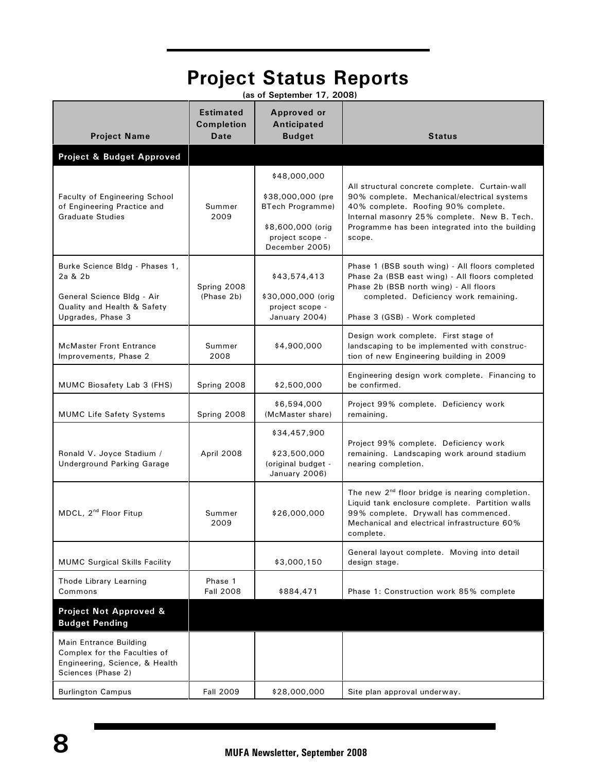| <b>Project Status Reports</b><br>(as of September 17, 2008)                                                                 |                                               |                                                                                                                        |                                                                                                                                                                                                                                                  |
|-----------------------------------------------------------------------------------------------------------------------------|-----------------------------------------------|------------------------------------------------------------------------------------------------------------------------|--------------------------------------------------------------------------------------------------------------------------------------------------------------------------------------------------------------------------------------------------|
| <b>Project Name</b>                                                                                                         | <b>Estimated</b><br><b>Completion</b><br>Date | <b>Approved or</b><br>Anticipated<br><b>Budget</b>                                                                     | <b>Status</b>                                                                                                                                                                                                                                    |
| Project & Budget Approved                                                                                                   |                                               |                                                                                                                        |                                                                                                                                                                                                                                                  |
| <b>Faculty of Engineering School</b><br>of Engineering Practice and<br><b>Graduate Studies</b>                              | Summer<br>2009                                | \$48,000,000<br>\$38,000,000 (pre<br><b>BTech Programme)</b><br>\$8,600,000 (orig<br>project scope -<br>December 2005) | All structural concrete complete. Curtain-wall<br>90% complete. Mechanical/electrical systems<br>40% complete. Roofing 90% complete.<br>Internal masonry 25% complete. New B. Tech.<br>Programme has been integrated into the building<br>scope. |
| Burke Science Bldg - Phases 1,<br>2a & 2b<br>General Science Bldg - Air<br>Quality and Health & Safety<br>Upgrades, Phase 3 | Spring 2008<br>(Phase 2b)                     | \$43,574,413<br>\$30,000,000 (orig<br>project scope -<br>January 2004)                                                 | Phase 1 (BSB south wing) - All floors completed<br>Phase 2a (BSB east wing) - All floors completed<br>Phase 2b (BSB north wing) - All floors<br>completed. Deficiency work remaining.<br>Phase 3 (GSB) - Work completed                          |
| <b>McMaster Front Entrance</b><br>Improvements, Phase 2                                                                     | Summer<br>2008                                | \$4,900,000                                                                                                            | Design work complete. First stage of<br>landscaping to be implemented with construc-<br>tion of new Engineering building in 2009                                                                                                                 |
| MUMC Biosafety Lab 3 (FHS)                                                                                                  | Spring 2008                                   | \$2,500,000                                                                                                            | Engineering design work complete. Financing to<br>be confirmed.                                                                                                                                                                                  |
| <b>MUMC Life Safety Systems</b>                                                                                             | Spring 2008                                   | \$6,594,000<br>(McMaster share)                                                                                        | Project 99% complete. Deficiency work<br>remaining.                                                                                                                                                                                              |
| Ronald V. Joyce Stadium /<br>Underground Parking Garage                                                                     | April 2008                                    | \$34,457,900<br>\$23,500,000<br>(original budget -<br>January 2006)                                                    | Project 99% complete. Deficiency work<br>remaining. Landscaping work around stadium<br>nearing completion.                                                                                                                                       |
| MDCL, 2 <sup>nd</sup> Floor Fitup                                                                                           | Summer<br>2009                                | \$26,000,000                                                                                                           | The new 2 <sup>nd</sup> floor bridge is nearing completion.<br>Liquid tank enclosure complete. Partition walls<br>99% complete. Drywall has commenced.<br>Mechanical and electrical infrastructure 60%<br>complete.                              |
| <b>MUMC Surgical Skills Facility</b>                                                                                        |                                               | \$3,000,150                                                                                                            | General layout complete. Moving into detail<br>design stage.                                                                                                                                                                                     |
| Thode Library Learning<br>Commons                                                                                           | Phase 1<br><b>Fall 2008</b>                   | \$884,471                                                                                                              | Phase 1: Construction work 85% complete                                                                                                                                                                                                          |
| Project Not Approved &<br><b>Budget Pending</b>                                                                             |                                               |                                                                                                                        |                                                                                                                                                                                                                                                  |
| Main Entrance Building<br>Complex for the Faculties of<br>Engineering, Science, & Health<br>Sciences (Phase 2)              |                                               |                                                                                                                        |                                                                                                                                                                                                                                                  |
| <b>Burlington Campus</b>                                                                                                    | <b>Fall 2009</b>                              | \$28,000,000                                                                                                           | Site plan approval underway.                                                                                                                                                                                                                     |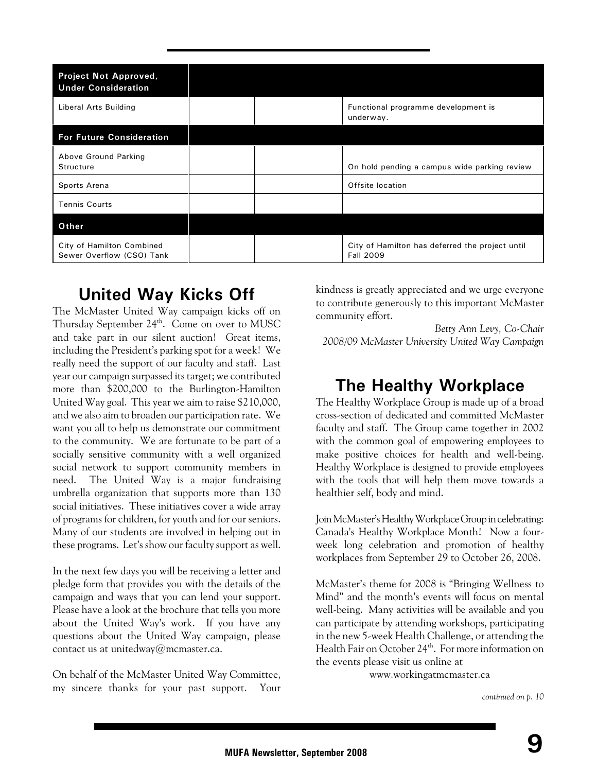| <b>Project Not Approved,</b><br><b>Under Consideration</b> |                                                                     |
|------------------------------------------------------------|---------------------------------------------------------------------|
| Liberal Arts Building                                      | Functional programme development is<br>underway.                    |
| <b>For Future Consideration</b>                            |                                                                     |
| Above Ground Parking<br>Structure                          | On hold pending a campus wide parking review                        |
| Sports Arena                                               | Offsite location                                                    |
| <b>Tennis Courts</b>                                       |                                                                     |
| Other                                                      |                                                                     |
| City of Hamilton Combined<br>Sewer Overflow (CSO) Tank     | City of Hamilton has deferred the project until<br><b>Fall 2009</b> |

## **United Way Kicks Off**

The McMaster United Way campaign kicks off on Thursday September 24<sup>th</sup>. Come on over to MUSC and take part in our silent auction! Great items, including the President's parking spot for a week! We really need the support of our faculty and staff. Last year our campaign surpassed its target; we contributed more than \$200,000 to the Burlington-Hamilton United Way goal. This year we aim to raise \$210,000, and we also aim to broaden our participation rate. We want you all to help us demonstrate our commitment to the community. We are fortunate to be part of a socially sensitive community with a well organized social network to support community members in need. The United Way is a major fundraising umbrella organization that supports more than 130 social initiatives. These initiatives cover a wide array of programs for children, for youth and for our seniors. Many of our students are involved in helping out in these programs. Let's show our faculty support as well.

In the next few days you will be receiving a letter and pledge form that provides you with the details of the campaign and ways that you can lend your support. Please have a look at the brochure that tells you more about the United Way's work. If you have any questions about the United Way campaign, please contact us at unitedway@mcmaster.ca.

On behalf of the McMaster United Way Committee, my sincere thanks for your past support. Your kindness is greatly appreciated and we urge everyone to contribute generously to this important McMaster community effort.

*Betty Ann Levy, Co-Chair 2008/09 McMaster University United Way Campaign*

## **The Healthy Workplace**

The Healthy Workplace Group is made up of a broad cross-section of dedicated and committed McMaster faculty and staff. The Group came together in 2002 with the common goal of empowering employees to make positive choices for health and well-being. Healthy Workplace is designed to provide employees with the tools that will help them move towards a healthier self, body and mind.

Join McMaster's Healthy Workplace Group in celebrating: Canada's Healthy Workplace Month! Now a fourweek long celebration and promotion of healthy workplaces from September 29 to October 26, 2008.

McMaster's theme for 2008 is "Bringing Wellness to Mind" and the month's events will focus on mental well-being. Many activities will be available and you can participate by attending workshops, participating in the new 5-week Health Challenge, or attending the Health Fair on October 24<sup>th</sup>. For more information on the events please visit us online at

www.workingatmcmaster.ca